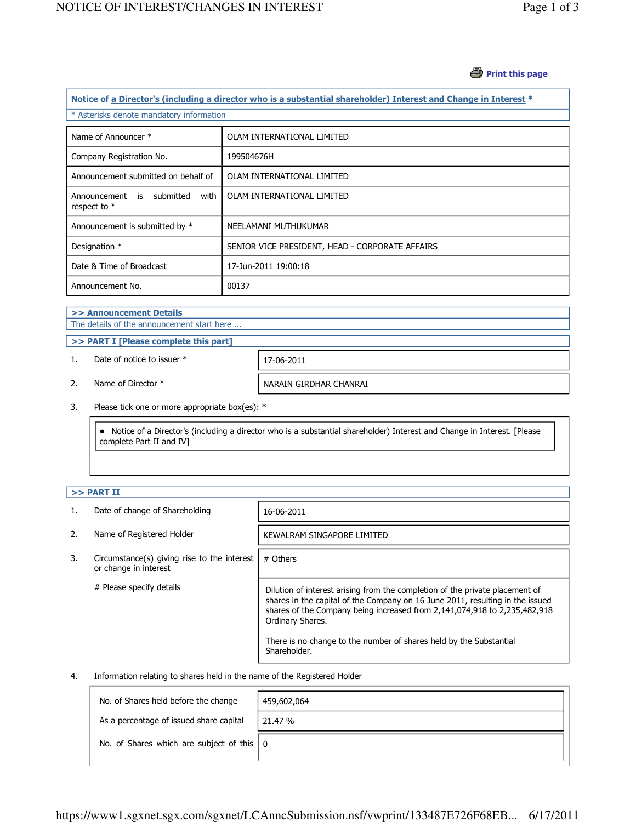#### *S* Print this page

| Notice of a Director's (including a director who is a substantial shareholder) Interest and Change in Interest * |                                                 |  |  |
|------------------------------------------------------------------------------------------------------------------|-------------------------------------------------|--|--|
| * Asterisks denote mandatory information                                                                         |                                                 |  |  |
| Name of Announcer *                                                                                              | OLAM INTERNATIONAL LIMITED                      |  |  |
| Company Registration No.                                                                                         | 199504676H                                      |  |  |
| Announcement submitted on behalf of                                                                              | OLAM INTERNATIONAL LIMITED                      |  |  |
| Announcement<br>submitted<br>with<br>is<br>respect to $*$                                                        | OLAM INTERNATIONAL LIMITED                      |  |  |
| Announcement is submitted by *                                                                                   | NEELAMANI MUTHUKUMAR                            |  |  |
| Designation *                                                                                                    | SENIOR VICE PRESIDENT, HEAD - CORPORATE AFFAIRS |  |  |
| Date & Time of Broadcast                                                                                         | 17-Jun-2011 19:00:18                            |  |  |
| Announcement No.                                                                                                 | 00137                                           |  |  |

# >> Announcement Details

The details of the announcement start here ...

#### >> PART I [Please complete this part]

1. Date of notice to issuer \* 17-06-2011

2. Name of Director \* NARAIN GIRDHAR CHANRAI

3. Please tick one or more appropriate box(es): \*

 Notice of a Director's (including a director who is a substantial shareholder) Interest and Change in Interest. [Please complete Part II and IV]

## $>>$  PART II

|    | Date of change of Shareholding                                       | 16-06-2011                                                                                                                                                                                                                                                     |
|----|----------------------------------------------------------------------|----------------------------------------------------------------------------------------------------------------------------------------------------------------------------------------------------------------------------------------------------------------|
| 2. | Name of Registered Holder                                            | KEWALRAM SINGAPORE LIMITED                                                                                                                                                                                                                                     |
| 3. | Circumstance(s) giving rise to the interest<br>or change in interest | # Others                                                                                                                                                                                                                                                       |
|    | # Please specify details                                             | Dilution of interest arising from the completion of the private placement of<br>shares in the capital of the Company on 16 June 2011, resulting in the issued<br>shares of the Company being increased from 2,141,074,918 to 2,235,482,918<br>Ordinary Shares. |
|    |                                                                      | There is no change to the number of shares held by the Substantial<br>Shareholder.                                                                                                                                                                             |

#### 4. Information relating to shares held in the name of the Registered Holder

| No. of Shares held before the change                      | 459,602,064 |
|-----------------------------------------------------------|-------------|
| As a percentage of issued share capital                   | 21.47 %     |
| No. of Shares which are subject of this $\vert 0 \rangle$ |             |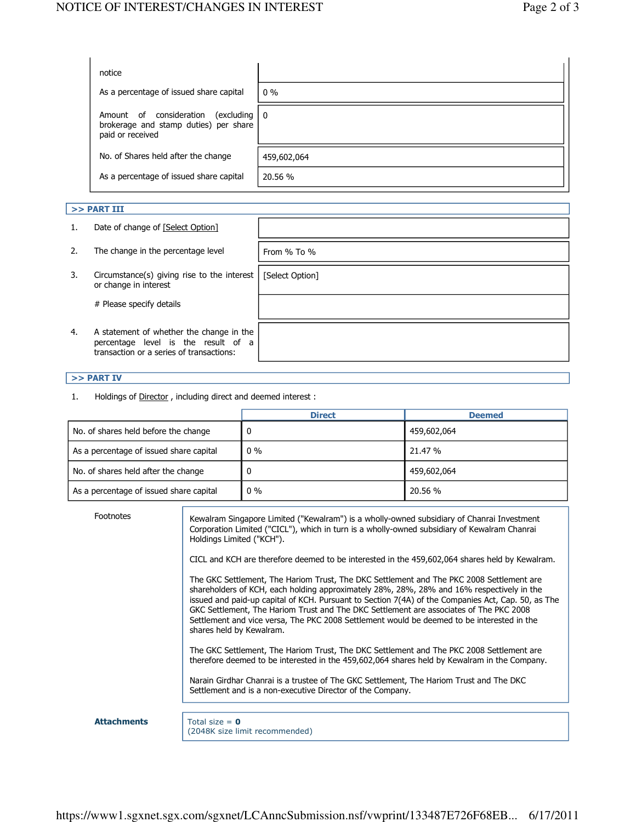| notice                                                                                                                        |             |
|-------------------------------------------------------------------------------------------------------------------------------|-------------|
| As a percentage of issued share capital                                                                                       | $0\%$       |
| Amount of consideration<br>$\left(\frac{excluding}{ } \right)$ 0<br>brokerage and stamp duties) per share<br>paid or received |             |
| No. of Shares held after the change                                                                                           | 459,602,064 |
| As a percentage of issued share capital                                                                                       | 20.56 %     |

### $>>$  PART III

|    | Date of change of [Select Option]                                                                                           |                 |
|----|-----------------------------------------------------------------------------------------------------------------------------|-----------------|
|    | The change in the percentage level                                                                                          | From $%$ To $%$ |
| 3. | Circumstance(s) giving rise to the interest<br>or change in interest                                                        | [Select Option] |
|    | # Please specify details                                                                                                    |                 |
| 4. | A statement of whether the change in the<br>percentage level is the result of a<br>transaction or a series of transactions: |                 |

### >> PART IV

1. Holdings of Director, including direct and deemed interest :

|                                         | <b>Direct</b> | <b>Deemed</b> |
|-----------------------------------------|---------------|---------------|
| No. of shares held before the change    |               | 459,602,064   |
| As a percentage of issued share capital | $0\%$         | 21.47 %       |
| No. of shares held after the change     |               | 459,602,064   |
| As a percentage of issued share capital | $0\%$         | 20.56 %       |

| Footnotes          | Kewalram Singapore Limited ("Kewalram") is a wholly-owned subsidiary of Chanrai Investment<br>Corporation Limited ("CICL"), which in turn is a wholly-owned subsidiary of Kewalram Chanrai<br>Holdings Limited ("KCH").                                                                                                                                                                                                                                                                                         |
|--------------------|-----------------------------------------------------------------------------------------------------------------------------------------------------------------------------------------------------------------------------------------------------------------------------------------------------------------------------------------------------------------------------------------------------------------------------------------------------------------------------------------------------------------|
|                    | CICL and KCH are therefore deemed to be interested in the 459,602,064 shares held by Kewalram.                                                                                                                                                                                                                                                                                                                                                                                                                  |
|                    | The GKC Settlement, The Hariom Trust, The DKC Settlement and The PKC 2008 Settlement are<br>shareholders of KCH, each holding approximately 28%, 28%, 28% and 16% respectively in the<br>issued and paid-up capital of KCH. Pursuant to Section 7(4A) of the Companies Act, Cap. 50, as The<br>GKC Settlement, The Hariom Trust and The DKC Settlement are associates of The PKC 2008<br>Settlement and vice versa, The PKC 2008 Settlement would be deemed to be interested in the<br>shares held by Kewalram. |
|                    | The GKC Settlement, The Hariom Trust, The DKC Settlement and The PKC 2008 Settlement are<br>therefore deemed to be interested in the 459,602,064 shares held by Kewalram in the Company.                                                                                                                                                                                                                                                                                                                        |
|                    | Narain Girdhar Chanrai is a trustee of The GKC Settlement, The Hariom Trust and The DKC<br>Settlement and is a non-executive Director of the Company.                                                                                                                                                                                                                                                                                                                                                           |
|                    |                                                                                                                                                                                                                                                                                                                                                                                                                                                                                                                 |
| <b>Attachments</b> | Total size = $\theta$<br>(2048K size limit recommended)                                                                                                                                                                                                                                                                                                                                                                                                                                                         |